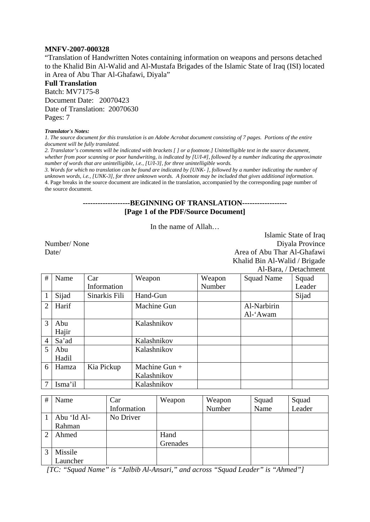#### **MNFV-2007-000328**

"Translation of Handwritten Notes containing information on weapons and persons detached to the Khalid Bin Al-Walid and Al-Mustafa Brigades of the Islamic State of Iraq (ISI) located in Area of Abu Thar Al-Ghafawi, Diyala"

**Full Translation**  Batch: MV7175-8 Document Date: 20070423 Date of Translation: 20070630 Pages: 7

#### *Translator's Notes:*

*1. The source document for this translation is an Adobe Acrobat document consisting of 7 pages. Portions of the entire document will be fully translated.* 

*2. Translator's comments will be indicated with brackets [ ] or a footnote.] Unintelligible text in the source document, whether from poor scanning or poor handwriting, is indicated by [U/I-#], followed by a number indicating the approximate number of words that are unintelligible, i.e., [U/I-3], for three unintelligible words.* 

*3. Words for which no translation can be found are indicated by [UNK- ], followed by a number indicating the number of unknown words, i.e., [UNK-3], for three unknown words. A footnote may be included that gives additional information.*  4. Page breaks in the source document are indicated in the translation, accompanied by the corresponding page number of the source document.

### **-------------------BEGINNING OF TRANSLATION------------------ [Page 1 of the PDF/Source Document]**

In the name of Allah…

Islamic State of Iraq Number/ None Diyala Province Date/ Area of Abu Thar Al-Ghafawi Khalid Bin Al-Walid / Brigade Al-Bara, / Detachment

| #              | Name    | Car           | Weapon        | Weapon | <b>Squad Name</b> | Squad  |
|----------------|---------|---------------|---------------|--------|-------------------|--------|
|                |         | Information   |               | Number |                   | Leader |
|                | Sijad   | Sinarkis Fili | Hand-Gun      |        |                   | Sijad  |
| $\overline{2}$ | Harif   |               | Machine Gun   |        | Al-Narbirin       |        |
|                |         |               |               |        | Al-'Awam          |        |
| $\mathcal{R}$  | Abu     |               | Kalashnikov   |        |                   |        |
|                | Hajir   |               |               |        |                   |        |
| $\overline{4}$ | Sa'ad   |               | Kalashnikov   |        |                   |        |
| 5              | Abu     |               | Kalashnikov   |        |                   |        |
|                | Hadil   |               |               |        |                   |        |
| 6              | Hamza   | Kia Pickup    | Machine Gun + |        |                   |        |
|                |         |               | Kalashnikov   |        |                   |        |
| 7              | Isma'il |               | Kalashnikov   |        |                   |        |

| # | Name        | Car         | Weapon   | Weapon | Squad | Squad  |
|---|-------------|-------------|----------|--------|-------|--------|
|   |             | Information |          | Number | Name  | Leader |
|   | Abu 'Id Al- | No Driver   |          |        |       |        |
|   | Rahman      |             |          |        |       |        |
|   | Ahmed       |             | Hand     |        |       |        |
|   |             |             | Grenades |        |       |        |
|   | Missile     |             |          |        |       |        |
|   | Launcher    |             |          |        |       |        |

 *[TC: "Squad Name" is "Jalbib Al-Ansari," and across "Squad Leader" is "Ahmed"]*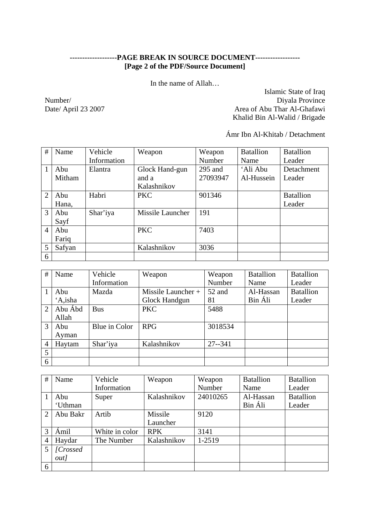## **-------------------PAGE BREAK IN SOURCE DOCUMENT------------------ [Page 2 of the PDF/Source Document]**

In the name of Allah…

Islamic State of Iraq Number/<br>Diyala Province Date/ April 23 2007<br>Area of Abu Thar Al-Ghafawi Area of Abu Thar Al-Ghafawi Khalid Bin Al-Walid / Brigade

Ámr Ibn Al-Khitab / Detachment

| #              | Name   | Vehicle     | Weapon           | Weapon    | <b>Batallion</b> | <b>Batallion</b> |
|----------------|--------|-------------|------------------|-----------|------------------|------------------|
|                |        | Information |                  | Number    | Name             | Leader           |
|                | Abu    | Elantra     | Glock Hand-gun   | $295$ and | 'Ali Abu         | Detachment       |
|                | Mitham |             | and a            | 27093947  | Al-Hussein       | Leader           |
|                |        |             | Kalashnikov      |           |                  |                  |
| $\overline{2}$ | Abu    | Habri       | <b>PKC</b>       | 901346    |                  | <b>Batallion</b> |
|                | Hana,  |             |                  |           |                  | Leader           |
| 3              | Abu    | Shar'iya    | Missile Launcher | 191       |                  |                  |
|                | Sayf   |             |                  |           |                  |                  |
| $\overline{4}$ | Abu    |             | <b>PKC</b>       | 7403      |                  |                  |
|                | Fariq  |             |                  |           |                  |                  |
| 5              | Safyan |             | Kalashnikov      | 3036      |                  |                  |
| 6              |        |             |                  |           |                  |                  |

| #              | Name    | Vehicle       | Weapon             | Weapon     | <b>Batallion</b> | <b>Batallion</b> |
|----------------|---------|---------------|--------------------|------------|------------------|------------------|
|                |         | Information   |                    | Number     | Name             | Leader           |
|                | Abu     | Mazda         | Missile Launcher + | 52 and     | Al-Hassan        | <b>Batallion</b> |
|                | 'A,isha |               | Glock Handgun      | 81         | Bin Áli          | Leader           |
| $\overline{2}$ | Abu Ábd | <b>Bus</b>    | <b>PKC</b>         | 5488       |                  |                  |
|                | Allah   |               |                    |            |                  |                  |
| 3              | Abu     | Blue in Color | <b>RPG</b>         | 3018534    |                  |                  |
|                | Avman   |               |                    |            |                  |                  |
| $\overline{4}$ | Haytam  | Shar'iya      | Kalashnikov        | $27 - 341$ |                  |                  |
| 5              |         |               |                    |            |                  |                  |
| 6              |         |               |                    |            |                  |                  |

| #              | Name         | Vehicle        | Weapon      | Weapon   | <b>Batallion</b> | <b>Batallion</b> |
|----------------|--------------|----------------|-------------|----------|------------------|------------------|
|                |              | Information    |             | Number   | Name             | Leader           |
|                | Abu          | Super          | Kalashnikov | 24010265 | Al-Hassan        | <b>Batallion</b> |
|                | 'Uthman      |                |             |          | Bin Áli          | Leader           |
| $\overline{2}$ | Abu Bakr     | Artib          | Missile     | 9120     |                  |                  |
|                |              |                | Launcher    |          |                  |                  |
| 3              | Ámil         | White in color | <b>RPK</b>  | 3141     |                  |                  |
| $\overline{4}$ | Haydar       | The Number     | Kalashnikov | 1-2519   |                  |                  |
| 5              | [Crossed]    |                |             |          |                  |                  |
|                | <i>out</i> ] |                |             |          |                  |                  |
| 6              |              |                |             |          |                  |                  |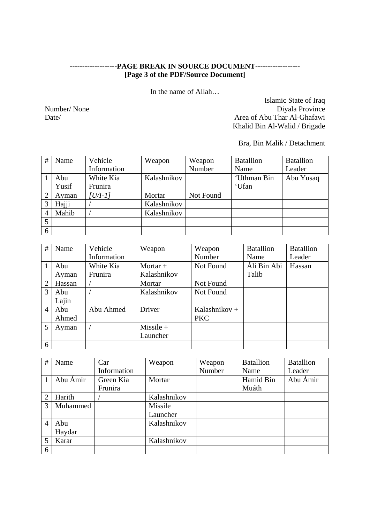# **-------------------PAGE BREAK IN SOURCE DOCUMENT------------------ [Page 3 of the PDF/Source Document]**

In the name of Allah…

Islamic State of Iraq Number/ None Diyala Province Date/ Area of Abu Thar Al-Ghafawi Khalid Bin Al-Walid / Brigade

Bra, Bin Malik / Detachment

| #              | Name  | Vehicle     | Weapon      | Weapon    | <b>Batallion</b> | <b>Batallion</b> |
|----------------|-------|-------------|-------------|-----------|------------------|------------------|
|                |       | Information |             | Number    | Name             | Leader           |
|                | Abu   | White Kia   | Kalashnikov |           | 'Uthman Bin      | Abu Yusaq        |
|                | Yusif | Frunira     |             |           | 'Ufan            |                  |
|                | Ayman | $[U/I-1]$   | Mortar      | Not Found |                  |                  |
| 3              | Hajji |             | Kalashnikov |           |                  |                  |
| $\overline{4}$ | Mahib |             | Kalashnikov |           |                  |                  |
| 5              |       |             |             |           |                  |                  |
| 6              |       |             |             |           |                  |                  |

| #              | Name   | Vehicle     | Weapon      | Weapon        | <b>Batallion</b> | <b>Batallion</b> |
|----------------|--------|-------------|-------------|---------------|------------------|------------------|
|                |        | Information |             | Number        | Name             | Leader           |
|                | Abu    | White Kia   | Mortar $+$  | Not Found     | Áli Bin Abi      | Hassan           |
|                | Ayman  | Frunira     | Kalashnikov |               | Talib            |                  |
| $\overline{2}$ | Hassan |             | Mortar      | Not Found     |                  |                  |
| $\mathcal{R}$  | Abu    |             | Kalashnikov | Not Found     |                  |                  |
|                | Lajin  |             |             |               |                  |                  |
| $\overline{4}$ | Abu    | Abu Ahmed   | Driver      | Kalashnikov + |                  |                  |
|                | Ahmed  |             |             | <b>PKC</b>    |                  |                  |
| 5              | Ayman  |             | $Missile +$ |               |                  |                  |
|                |        |             | Launcher    |               |                  |                  |
| 6              |        |             |             |               |                  |                  |

| #                        | Name     | Car         | Weapon      | Weapon | <b>Batallion</b> | <b>Batallion</b> |
|--------------------------|----------|-------------|-------------|--------|------------------|------------------|
|                          |          | Information |             | Number | Name             | Leader           |
|                          | Abu Ámir | Green Kia   | Mortar      |        | Hamid Bin        | Abu Ámir         |
|                          |          | Frunira     |             |        | Muáth            |                  |
| $\overline{2}$           | Harith   |             | Kalashnikov |        |                  |                  |
| $\mathcal{R}$            | Muhammed |             | Missile     |        |                  |                  |
|                          |          |             | Launcher    |        |                  |                  |
| $\overline{4}$           | Abu      |             | Kalashnikov |        |                  |                  |
|                          | Haydar   |             |             |        |                  |                  |
| $\overline{\mathcal{L}}$ | Karar    |             | Kalashnikov |        |                  |                  |
| 6                        |          |             |             |        |                  |                  |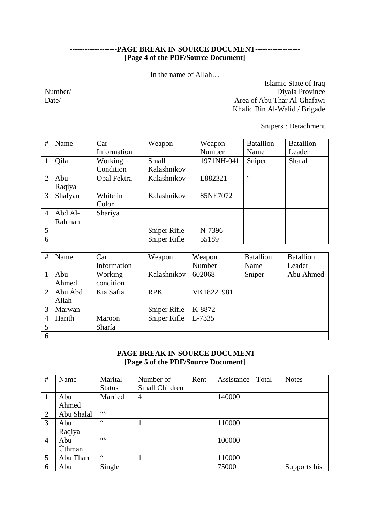## **-------------------PAGE BREAK IN SOURCE DOCUMENT------------------ [Page 4 of the PDF/Source Document]**

In the name of Allah…

Islamic State of Iraq Number/ Diyala Province Date/ Area of Abu Thar Al-Ghafawi Khalid Bin Al-Walid / Brigade

Snipers : Detachment

| #              | Name    | Car         | Weapon       | Weapon     | <b>Batallion</b> | <b>Batallion</b> |
|----------------|---------|-------------|--------------|------------|------------------|------------------|
|                |         | Information |              | Number     | Name             | Leader           |
|                | Qilal   | Working     | Small        | 1971NH-041 | Sniper           | Shalal           |
|                |         | Condition   | Kalashnikov  |            |                  |                  |
| $\overline{2}$ | Abu     | Opal Fektra | Kalashnikov  | L882321    | 66               |                  |
|                | Raqiya  |             |              |            |                  |                  |
| 3              | Shafyan | White in    | Kalashnikov  | 85NE7072   |                  |                  |
|                |         | Color       |              |            |                  |                  |
| $\overline{4}$ | Ábd Al- | Sharíya     |              |            |                  |                  |
|                | Rahman  |             |              |            |                  |                  |
| 5              |         |             | Sniper Rifle | N-7396     |                  |                  |
| 6              |         |             | Sniper Rifle | 55189      |                  |                  |

| #                     | Name    | Car         | Weapon       | Weapon     | <b>Batallion</b> | <b>Batallion</b> |
|-----------------------|---------|-------------|--------------|------------|------------------|------------------|
|                       |         | Information |              | Number     | Name             | Leader           |
|                       | Abu     | Working     | Kalashnikov  | 602068     | Sniper           | Abu Ahmed        |
|                       | Ahmed   | condition   |              |            |                  |                  |
| $\mathcal{D}_{\cdot}$ | Abu Ábd | Kia Safia   | <b>RPK</b>   | VK18221981 |                  |                  |
|                       | Allah   |             |              |            |                  |                  |
| 3                     | Marwan  |             | Sniper Rifle | K-8872     |                  |                  |
| 4                     | Harith  | Maroon      | Sniper Rifle | L-7335     |                  |                  |
| 5                     |         | Sharía      |              |            |                  |                  |
| 6                     |         |             |              |            |                  |                  |

## **-------------------PAGE BREAK IN SOURCE DOCUMENT------------------ [Page 5 of the PDF/Source Document]**

| #              | Name       | Marital        | Number of      | Rent | Assistance | Total | <b>Notes</b> |
|----------------|------------|----------------|----------------|------|------------|-------|--------------|
|                |            | <b>Status</b>  | Small Children |      |            |       |              |
|                | Abu        | Married        | 4              |      | 140000     |       |              |
|                | Ahmed      |                |                |      |            |       |              |
| $\overline{2}$ | Abu Shalal | 6522           |                |      |            |       |              |
| 3              | Abu        | $\zeta\,\zeta$ |                |      | 110000     |       |              |
|                | Raqiya     |                |                |      |            |       |              |
| $\overline{4}$ | Abu        | 6599           |                |      | 100000     |       |              |
|                | Úthman     |                |                |      |            |       |              |
| 5              | Abu Tharr  | 66             |                |      | 110000     |       |              |
| 6              | Abu        | Single         |                |      | 75000      |       | Supports his |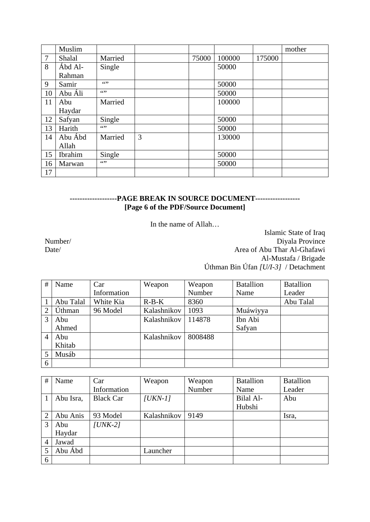|                | Muslim  |         |   |       |        |        | mother |
|----------------|---------|---------|---|-------|--------|--------|--------|
| $\overline{7}$ | Shalal  | Married |   | 75000 | 100000 | 175000 |        |
| 8              | Ábd Al- | Single  |   |       | 50000  |        |        |
|                | Rahman  |         |   |       |        |        |        |
| 9              | Samir   | 6522    |   |       | 50000  |        |        |
| 10             | Abu Áli | 652     |   |       | 50000  |        |        |
| 11             | Abu     | Married |   |       | 100000 |        |        |
|                | Haydar  |         |   |       |        |        |        |
| 12             | Safyan  | Single  |   |       | 50000  |        |        |
| 13             | Harith  | 6522    |   |       | 50000  |        |        |
| 14             | Abu Ábd | Married | 3 |       | 130000 |        |        |
|                | Allah   |         |   |       |        |        |        |
| 15             | Ibrahim | Single  |   |       | 50000  |        |        |
| 16             | Marwan  | 6522    |   |       | 50000  |        |        |
| 17             |         |         |   |       |        |        |        |

## **-------------------PAGE BREAK IN SOURCE DOCUMENT------------------ [Page 6 of the PDF/Source Document]**

In the name of Allah…

Islamic State of Iraq Number/ Diyala Province Date/ Area of Abu Thar Al-Ghafawi Al-Mustafa / Brigade Úthman Bin Úfan *[U/I-3]* / Detachment

| #             | Name      | Car         | Weapon      | Weapon  | <b>Batallion</b> | <b>Batallion</b> |
|---------------|-----------|-------------|-------------|---------|------------------|------------------|
|               |           | Information |             | Number  | Name             | Leader           |
|               | Abu Talal | White Kia   | $R-B-K$     | 8360    |                  | Abu Talal        |
| 2             | Úthman    | 96 Model    | Kalashnikov | 1093    | Muáwiyya         |                  |
| $\mathcal{R}$ | Abu       |             | Kalashnikov | 114878  | Ibn Abi          |                  |
|               | Ahmed     |             |             |         | Safyan           |                  |
| 4             | Abu       |             | Kalashnikov | 8008488 |                  |                  |
|               | Khitab    |             |             |         |                  |                  |
|               | Musáb     |             |             |         |                  |                  |
| 6             |           |             |             |         |                  |                  |

| # | Name      | Car              | Weapon      | Weapon | <b>Batallion</b> | <b>Batallion</b> |
|---|-----------|------------------|-------------|--------|------------------|------------------|
|   |           | Information      |             | Number | Name             | Leader           |
|   | Abu Isra, | <b>Black Car</b> | $[UKN-1]$   |        | Bilal Al-        | Abu              |
|   |           |                  |             |        | Hubshi           |                  |
|   | Abu Anis  | 93 Model         | Kalashnikov | 9149   |                  | Isra,            |
| 3 | Abu       | $JUNK-2$         |             |        |                  |                  |
|   | Haydar    |                  |             |        |                  |                  |
| 4 | Jawad     |                  |             |        |                  |                  |
| 5 | Abu Ábd   |                  | Launcher    |        |                  |                  |
| 6 |           |                  |             |        |                  |                  |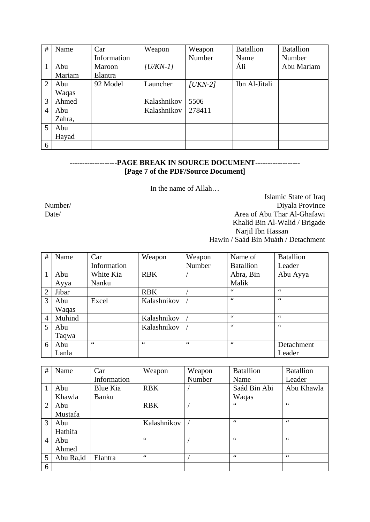| #              | Name   | Car         | Weapon      | Weapon    | <b>Batallion</b> | <b>Batallion</b> |
|----------------|--------|-------------|-------------|-----------|------------------|------------------|
|                |        | Information |             | Number    | Name             | Number           |
|                | Abu    | Maroon      | $ U/KN-1 $  |           | Áli              | Abu Mariam       |
|                | Mariam | Elantra     |             |           |                  |                  |
| 2              | Abu    | 92 Model    | Launcher    | $ UKN-2 $ | Ibn Al-Jitali    |                  |
|                | Waqas  |             |             |           |                  |                  |
| 3              | Ahmed  |             | Kalashnikov | 5506      |                  |                  |
| $\overline{4}$ | Abu    |             | Kalashnikov | 278411    |                  |                  |
|                | Zahra, |             |             |           |                  |                  |
| 5              | Abu    |             |             |           |                  |                  |
|                | Hayad  |             |             |           |                  |                  |
| 6              |        |             |             |           |                  |                  |

## **-------------------PAGE BREAK IN SOURCE DOCUMENT------------------ [Page 7 of the PDF/Source Document]**

In the name of Allah…

Islamic State of Iraq Number/ Diyala Province Date/ Area of Abu Thar Al-Ghafawi Khalid Bin Al-Walid / Brigade Narjil Ibn Hassan Hawin / Saád Bin Muáth / Detachment

| #              | Name   | Car         | Weapon      | Weapon | Name of          | <b>Batallion</b> |
|----------------|--------|-------------|-------------|--------|------------------|------------------|
|                |        | Information |             | Number | <b>Batallion</b> | Leader           |
| 1              | Abu    | White Kia   | <b>RBK</b>  |        | Abra, Bin        | Abu Ayya         |
|                | Ayya   | Nanku       |             |        | Malik            |                  |
| $\overline{2}$ | Jibar  |             | <b>RBK</b>  |        | 66               | 66               |
| 3              | Abu    | Excel       | Kalashnikov |        | 66               | 66               |
|                | Waqas  |             |             |        |                  |                  |
| $\overline{4}$ | Muhind |             | Kalashnikov |        | 66               | 66               |
| 5              | Abu    |             | Kalashnikov |        | 66               | 66               |
|                | Taqwa  |             |             |        |                  |                  |
| 6              | Abu    | 66          | 66          | 66     | 66               | Detachment       |
|                | Lanla  |             |             |        |                  | Leader           |

| #              | Name      | Car         | Weapon      | Weapon | <b>Batallion</b> | <b>Batallion</b> |
|----------------|-----------|-------------|-------------|--------|------------------|------------------|
|                |           | Information |             | Number | Name             | Leader           |
|                | Abu       | Blue Kia    | <b>RBK</b>  |        | Saád Bin Abi     | Abu Khawla       |
|                | Khawla    | Banku       |             |        | Waqas            |                  |
| $\overline{2}$ | Abu       |             | <b>RBK</b>  |        | 66               | 66               |
|                | Mustafa   |             |             |        |                  |                  |
| $\mathcal{R}$  | Abu       |             | Kalashnikov |        | 66               | 66               |
|                | Hathifa   |             |             |        |                  |                  |
| $\overline{4}$ | Abu       |             | 66          |        | 66               | 66               |
|                | Ahmed     |             |             |        |                  |                  |
| 5              | Abu Ra,id | Elantra     | 66          |        | 66               | 66               |
| 6              |           |             |             |        |                  |                  |